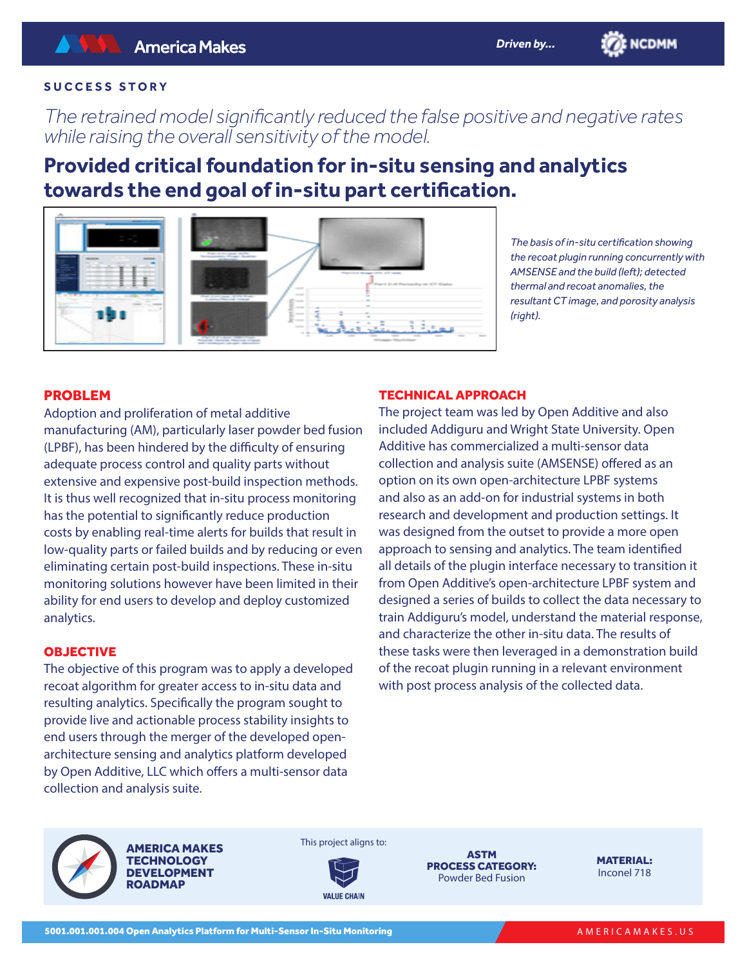# **SUCCESS STORY**

*The retrained model significantly reduced the false positive and negative rates while raising the overall sensitivity of the model.* 

# **Provided critical foundation for in-situ sensing and analytics towards the end goal of in-situ part certification.**



*The basis of in-situ certification showing the recoat plugin running concurrently with AMSENSE and the build (left); detected thermal and recoat anomalies, the resultant CT image, and porosity analysis (right).*

**ENCDMM** 

# PROBLEM

Adoption and proliferation of metal additive manufacturing (AM), particularly laser powder bed fusion (LPBF), has been hindered by the difficulty of ensuring adequate process control and quality parts without extensive and expensive post-build inspection methods. It is thus well recognized that in-situ process monitoring has the potential to significantly reduce production costs by enabling real-time alerts for builds that result in low-quality parts or failed builds and by reducing or even eliminating certain post-build inspections. These in-situ monitoring solutions however have been limited in their ability for end users to develop and deploy customized analytics.

#### **OBJECTIVE**

The objective of this program was to apply a developed recoat algorithm for greater access to in-situ data and resulting analytics. Specifically the program sought to provide live and actionable process stability insights to end users through the merger of the developed openarchitecture sensing and analytics platform developed by Open Additive, LLC which offers a multi-sensor data collection and analysis suite.

## TECHNICAL APPROACH

The project team was led by Open Additive and also included Addiguru and Wright State University. Open Additive has commercialized a multi-sensor data collection and analysis suite (AMSENSE) offered as an option on its own open-architecture LPBF systems and also as an add-on for industrial systems in both research and development and production settings. It was designed from the outset to provide a more open approach to sensing and analytics. The team identified all details of the plugin interface necessary to transition it from Open Additive's open-architecture LPBF system and designed a series of builds to collect the data necessary to train Addiguru's model, understand the material response, and characterize the other in-situ data. The results of these tasks were then leveraged in a demonstration build of the recoat plugin running in a relevant environment with post process analysis of the collected data.



AMERICA MAKES **TECHNOLOGY** DEVELOPMENT **ROADMAP** 



This project aligns to:

ASTM PROCESS CATEGORY: Powder Bed Fusion

MATERIAL: Inconel 718